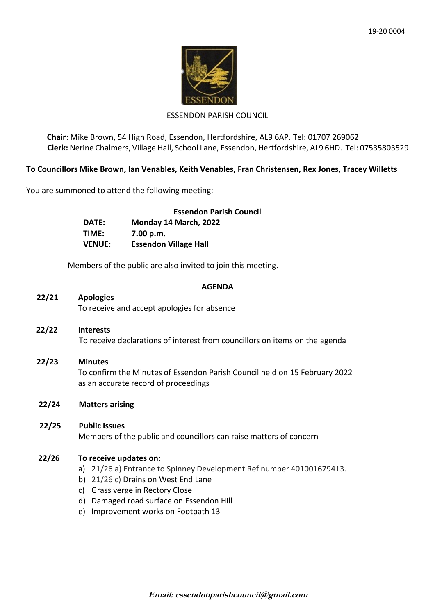

# ESSENDON PARISH COUNCIL

**Chair**: Mike Brown, 54 High Road, Essendon, Hertfordshire, AL9 6AP. Tel: 01707 269062 **Clerk:** Nerine Chalmers, Village Hall, School Lane, Essendon, Hertfordshire, AL9 6HD. Tel: 07535803529

## **To Councillors Mike Brown, Ian Venables, Keith Venables, Fran Christensen, Rex Jones, Tracey Willetts**

You are summoned to attend the following meeting:

|               | <b>Essendon Parish Council</b> |
|---------------|--------------------------------|
| DATE:         | Monday 14 March, 2022          |
| TIME:         | 7.00 p.m.                      |
| <b>VENUE:</b> | <b>Essendon Village Hall</b>   |

Members of the public are also invited to join this meeting.

#### **AGENDA**

## **22/21 Apologies**

To receive and accept apologies for absence

- **22/22 Interests** To receive declarations of interest from councillors on items on the agenda
- **22/23 Minutes** To confirm the Minutes of Essendon Parish Council held on 15 February 2022 as an accurate record of proceedings
- **22/24 Matters arising**

## **22/25 Public Issues** Members of the public and councillors can raise matters of concern

#### **22/26 To receive updates on:**

- a) 21/26 a) Entrance to Spinney Development Ref number 401001679413.
- b) 21/26 c) Drains on West End Lane
- c) Grass verge in Rectory Close
- d) Damaged road surface on Essendon Hill
- e) Improvement works on Footpath 13

**Email: essendonparishcouncil@gmail.com**